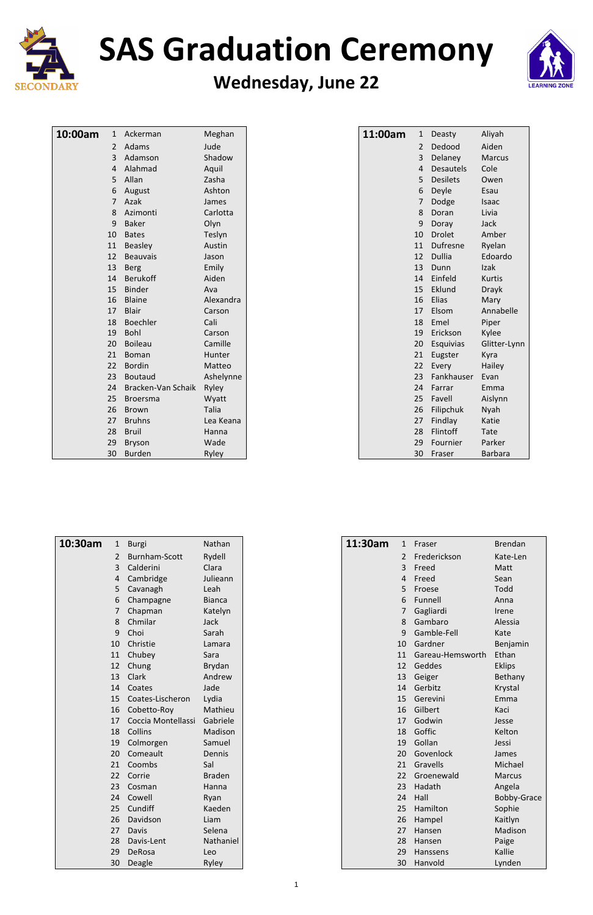

# **SAS Graduation Ceremony**

#### **Wednesday, June 22**



| 10:00am | 1               | Ackerman           | Meghan       |  |
|---------|-----------------|--------------------|--------------|--|
|         | $\overline{2}$  | Adams              | Jude         |  |
|         | 3 <sup>1</sup>  | Adamson            | Shadow       |  |
|         | $\overline{4}$  | Alahmad            | Aquil        |  |
|         | 5               | Allan              | Zasha        |  |
|         | 6               | August             | Ashton       |  |
|         | 7               | Azak               | James        |  |
|         | 8               | Azimonti           | Carlotta     |  |
|         | 9               | <b>Baker</b>       | Olyn         |  |
|         | 10              | <b>Bates</b>       | Teslyn       |  |
|         | 11              | <b>Beasley</b>     | Austin       |  |
|         | 12 <sup>7</sup> | <b>Beauvais</b>    | Jason        |  |
|         | 13              | <b>Berg</b>        | Emily        |  |
|         | 14              | <b>Berukoff</b>    | Aiden        |  |
|         | 15              | <b>Binder</b>      | Ava          |  |
|         | 16              | <b>Blaine</b>      | Alexandra    |  |
|         | 17              | <b>Blair</b>       | Carson       |  |
|         | 18              | Boechler           | Cali         |  |
|         | 19              | <b>Bohl</b>        | Carson       |  |
|         | 20              | <b>Boileau</b>     | Camille      |  |
|         | 21              | <b>Boman</b>       | Hunter       |  |
|         | 22              | <b>Bordin</b>      | Matteo       |  |
|         | $23 -$          | <b>Boutaud</b>     | Ashelynne    |  |
|         | 24              | Bracken-Van Schaik | Ryley        |  |
|         | 25              | <b>Broersma</b>    | Wyatt        |  |
|         | 26              | <b>Brown</b>       | <b>Talia</b> |  |
|         | 27              | <b>Bruhns</b>      | Lea Keana    |  |
|         | 28              | <b>Bruil</b>       | Hanna        |  |
|         | 29              | <b>Bryson</b>      | Wade         |  |
|         | 30              | <b>Burden</b>      | Ryley        |  |

| 10:30am | 1  | <b>Burgi</b>         | Nathan        |
|---------|----|----------------------|---------------|
|         | 2  | <b>Burnham-Scott</b> | Rydell        |
|         | 3  | Calderini            | Clara         |
|         | 4  | Cambridge            | Julieann      |
|         | 5  | Cavanagh             | Leah          |
|         | 6  | Champagne            | <b>Bianca</b> |
|         | 7  | Chapman              | Katelyn       |
|         | 8  | Chmilar              | Jack          |
|         | 9  | Choi                 | Sarah         |
|         | 10 | Christie             | Lamara        |
|         | 11 | Chubey               | Sara          |
|         | 12 | Chung                | <b>Brydan</b> |

| 13 | Clark              | Andrew        |
|----|--------------------|---------------|
| 14 | Coates             | Jade          |
| 15 | Coates-Lischeron   | Lydia         |
| 16 | Cobetto-Roy        | Mathieu       |
| 17 | Coccia Montellassi | Gabriele      |
| 18 | Collins            | Madison       |
| 19 | Colmorgen          | Samuel        |
| 20 | Comeault           | Dennis        |
| 21 | Coombs             | Sal           |
| 22 | Corrie             | <b>Braden</b> |
| 23 | Cosman             | Hanna         |
| 24 | Cowell             | Ryan          |
| 25 | Cundiff            | Kaeden        |
| 26 | Davidson           | Liam          |
| 27 | Davis              | Selena        |
| 28 | Davis-Lent         | Nathaniel     |
| 29 | DeRosa             | Leo           |
| 30 | Deagle             | Ryley         |

| 11:00am | 1               | Deasty           | Aliyah         |
|---------|-----------------|------------------|----------------|
|         | 2               | Dedood           | Aiden          |
|         | $\overline{3}$  | Delaney          | <b>Marcus</b>  |
|         | 4               | <b>Desautels</b> | Cole           |
|         | 5               | <b>Desilets</b>  | Owen           |
|         | 6               | Deyle            | Esau           |
|         | 7               | Dodge            | Isaac          |
|         | 8               | Doran            | Livia          |
|         | 9               | Doray            | <b>Jack</b>    |
|         | 10              | <b>Drolet</b>    | Amber          |
|         | 11              | Dufresne         | Ryelan         |
|         | 12              | <b>Dullia</b>    | Edoardo        |
|         | 13              | Dunn             | Izak           |
|         | 14              | Einfeld          | <b>Kurtis</b>  |
|         | 15 <sup>2</sup> | Eklund           | <b>Drayk</b>   |
|         | 16              | <b>Elias</b>     | Mary           |
|         | 17              | Elsom            | Annabelle      |
|         | 18              | Emel             | Piper          |
|         | 19              | Erickson         | Kylee          |
|         | $20-$           | Esquivias        | Glitter-Lynn   |
|         | 21              | Eugster          | Kyra           |
|         | 22 <sub>2</sub> | Every            | Hailey         |
|         | 23              | Fankhauser       | Evan           |
|         | 24              | Farrar           | Emma           |
|         | $25 -$          | Favell           | Aislynn        |
|         | 26              | Filipchuk        | Nyah           |
|         | 27 <sub>2</sub> | Findlay          | Katie          |
|         | 28              | Flintoff         | <b>Tate</b>    |
|         | 29              | Fournier         | Parker         |
|         | 30              | Fraser           | <b>Barbara</b> |

| 11:30am        | 1 Fraser         | <b>Brendan</b> |
|----------------|------------------|----------------|
| $\overline{2}$ | Frederickson     | Kate-Len       |
| 3              | Freed            | Matt           |
| 4              | Freed            | Sean           |
| 5              | Froese           | Todd           |
|                | 6 Funnell        | Anna           |
|                | 7 Gagliardi      | Irene          |
|                | 8 Gambaro        | Alessia        |
|                | 9 Gamble-Fell    | Kate           |
| 10             | Gardner          | Benjamin       |
| 11             | Gareau-Hemsworth | Ethan          |
| 12             | Geddes           | <b>Eklips</b>  |

| 13              | Geiger     | Bethany            |
|-----------------|------------|--------------------|
| 14              | Gerbitz    | Krystal            |
| 15              | Gerevini   | Emma               |
| 16              | Gilbert    | Kaci               |
| 17              | Godwin     | Jesse              |
| 18              | Goffic     | Kelton             |
| 19              | Gollan     | Jessi              |
| 20              | Govenlock  | James              |
| 21              | Gravells   | Michael            |
| 22 <sup>2</sup> | Groenewald | <b>Marcus</b>      |
| 23              | Hadath     | Angela             |
| 24              | Hall       | <b>Bobby-Grace</b> |
| 25 <sub>2</sub> | Hamilton   | Sophie             |
| 26              | Hampel     | Kaitlyn            |
| 27              | Hansen     | Madison            |
| 28              | Hansen     | Paige              |
| 29              | Hanssens   | Kallie             |
| 30              | Hanvold    | Lynden             |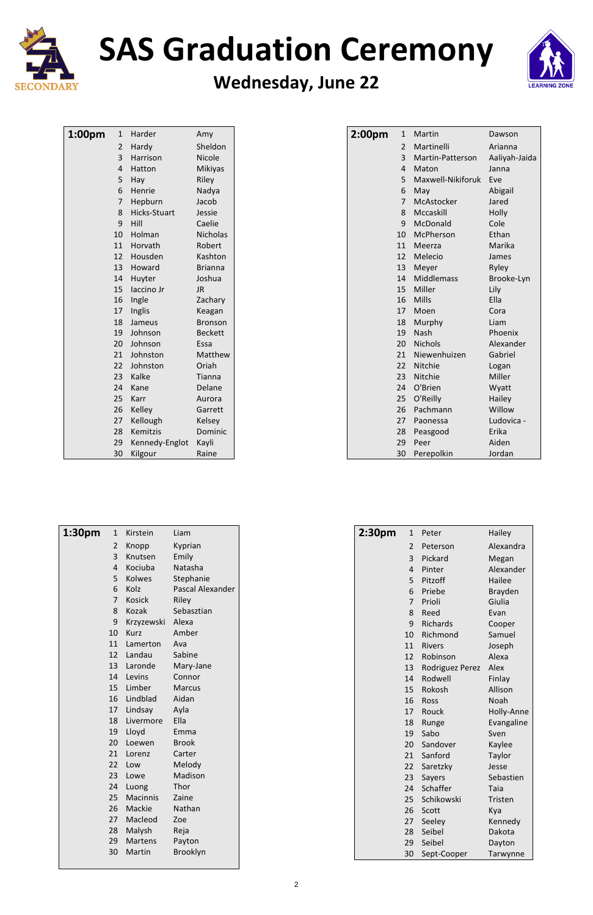

# **SAS Graduation Ceremony**

#### **Wednesday, June 22**



| 1:00pm | 1               | Harder              | Amy             |
|--------|-----------------|---------------------|-----------------|
|        | $\overline{2}$  | Hardy               | Sheldon         |
|        | 3 <sup>1</sup>  | Harrison            | Nicole          |
|        | 4               | Hatton              | Mikiyas         |
|        | 5               | Hay                 | Riley           |
|        | 6               | Henrie              | Nadya           |
|        | 7               | Hepburn             | Jacob           |
|        | 8               | <b>Hicks-Stuart</b> | Jessie          |
|        | 9               | Hill                | Caelie          |
|        | $10-1$          | Holman              | <b>Nicholas</b> |
|        | 11              | Horvath             | Robert          |
|        | 12 <sup>7</sup> | Housden             | Kashton         |
|        | 13              | Howard              | <b>Brianna</b>  |
|        | 14              | Huyter              | Joshua          |
|        | 15 <sup>2</sup> | laccino Jr          | <b>JR</b>       |
|        | 16              | Ingle               | Zachary         |
|        | 17 <sup>2</sup> | Inglis              | Keagan          |
|        | 18              | Jameus              | <b>Bronson</b>  |
|        | 19              | Johnson             | <b>Beckett</b>  |
|        | 20 <sub>2</sub> | Johnson             | Essa            |
|        | 21              | Johnston            | Matthew         |
|        | 22 <sup>2</sup> | Johnston            | Oriah           |
|        | $23 -$          | Kalke               | <b>Tianna</b>   |
|        | 24              | Kane                | Delane          |
|        | 25 <sub>2</sub> | Karr                | Aurora          |
|        | 26 <sup>2</sup> | Kelley              | Garrett         |
|        | 27              | Kellough            | Kelsey          |
|        | 28              | Kemitzis            | Dominic         |
|        | 29              | Kennedy-Englot      | Kayli           |
|        | 30              | Kilgour             | Raine           |

| 1:30 <sub>pm</sub> | $\mathbf{1}$ | Kirstein      | Liam             |
|--------------------|--------------|---------------|------------------|
|                    | 2            | Knopp         | Kyprian          |
|                    | 3            | Knutsen       | Emily            |
|                    | 4            | Kociuba       | Natasha          |
|                    | 5            | Kolwes        | Stephanie        |
|                    | 6            | Kolz          | Pascal Alexander |
|                    | 7            | <b>Kosick</b> | Riley            |
|                    | 8            | Kozak         | Sebasztian       |
|                    | 9            | Krzyzewski    | Alexa            |
|                    | 10           | Kurz          | Amber            |
|                    | 11           | Lamerton      | Ava              |
|                    | 12           | Landau        | Sabine           |
|                    | 13           | Laronde       | Mary-Jane        |

| 14 | Levins          | Connor          |
|----|-----------------|-----------------|
| 15 | Limber          | Marcus          |
| 16 | Lindblad        | Aidan           |
| 17 | Lindsay         | Ayla            |
| 18 | Livermore       | Ella            |
| 19 | Lloyd           | Emma            |
| 20 | Loewen          | Brook           |
| 21 | Lorenz          | Carter          |
| 22 | Low             | Melody          |
| 23 | Lowe            | Madison         |
| 24 | Luong           | Thor            |
| 25 | <b>Macinnis</b> | Zaine           |
| 26 | Mackie          | Nathan          |
| 27 | Macleod         | Zoe             |
| 28 | Malysh          | Reja            |
| 29 | Martens         | Payton          |
| 30 | Martin          | <b>Brooklyn</b> |
|    |                 |                 |

| 2:00 <sub>pm</sub> | 1               | Martin            | Dawson        |
|--------------------|-----------------|-------------------|---------------|
|                    | 2               | Martinelli        | Arianna       |
|                    | $\overline{3}$  | Martin-Patterson  | Aaliyah-Jaida |
|                    | 4               | Maton             | Janna         |
|                    | 5               | Maxwell-Nikiforuk | Eve           |
|                    | 6               | May               | Abigail       |
|                    | 7               | McAstocker        | Jared         |
|                    | 8               | Mccaskill         | Holly         |
|                    | 9               | McDonald          | Cole          |
|                    | 10              | McPherson         | Ethan         |
|                    | 11              | Meerza            | Marika        |
|                    | 12 <sup>7</sup> | Melecio           | James         |
|                    | 13              | Meyer             | Ryley         |
|                    | 14              | <b>Middlemass</b> | Brooke-Lyn    |
|                    | 15              | Miller            | Lily          |
|                    | 16              | <b>Mills</b>      | Ella          |
|                    | 17 <sup>2</sup> | Moen              | Cora          |
|                    | 18              | Murphy            | Liam          |
|                    | 19              | Nash              | Phoenix       |
|                    | 20              | <b>Nichols</b>    | Alexander     |
|                    | 21              | Niewenhuizen      | Gabriel       |
|                    | 22              | Nitchie           | Logan         |
|                    | 23              | Nitchie           | Miller        |
|                    | 24              | O'Brien           | Wyatt         |
|                    | 25              | O'Reilly          | Hailey        |
|                    | 26              | Pachmann          | Willow        |
|                    | 27              | Paonessa          | Ludovica -    |
|                    | 28              | Peasgood          | Erika         |
|                    | 29              | Peer              | Aiden         |
|                    | 30              | Perepolkin        | Jordan        |

| 2:30 <sub>pm</sub> | $\mathbf{1}$ | Peter           | Hailey         |
|--------------------|--------------|-----------------|----------------|
|                    | 2            | Peterson        | Alexandra      |
|                    | 3            | Pickard         | Megan          |
|                    | 4            | Pinter          | Alexander      |
|                    | 5            | Pitzoff         | Hailee         |
|                    | 6            | Priebe          | <b>Brayden</b> |
|                    | 7            | Prioli          | Giulia         |
|                    | 8            | Reed            | Evan           |
|                    | 9            | Richards        | Cooper         |
|                    | 10           | Richmond        | Samuel         |
|                    | 11           | <b>Rivers</b>   | Joseph         |
|                    | 12           | Robinson        | Alexa          |
|                    | 13           | Rodriguez Perez | Alex           |

| 14 | Rodwell     | Finlay     |
|----|-------------|------------|
| 15 | Rokosh      | Allison    |
| 16 | Ross        | Noah       |
| 17 | Rouck       | Holly-Anne |
| 18 | Runge       | Evangaline |
| 19 | Sabo        | Sven       |
| 20 | Sandover    | Kaylee     |
| 21 | Sanford     | Taylor     |
| 22 | Saretzky    | Jesse      |
| 23 | Sayers      | Sebastien  |
| 24 | Schaffer    | Taia       |
| 25 | Schikowski  | Tristen    |
| 26 | Scott       | Kya        |
| 27 | Seeley      | Kennedy    |
| 28 | Seibel      | Dakota     |
| 29 | Seibel      | Dayton     |
| 30 | Sept-Cooper | Tarwynne   |